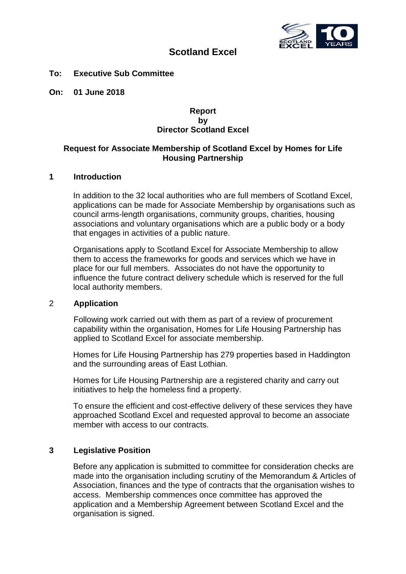

# **Scotland Excel**

#### **To: Executive Sub Committee**

**On: 01 June 2018**

#### **Report by Director Scotland Excel**

## **Request for Associate Membership of Scotland Excel by Homes for Life Housing Partnership**

### **1 Introduction**

In addition to the 32 local authorities who are full members of Scotland Excel, applications can be made for Associate Membership by organisations such as council arms-length organisations, community groups, charities, housing associations and voluntary organisations which are a public body or a body that engages in activities of a public nature.

Organisations apply to Scotland Excel for Associate Membership to allow them to access the frameworks for goods and services which we have in place for our full members. Associates do not have the opportunity to influence the future contract delivery schedule which is reserved for the full local authority members.

#### 2 **Application**

Following work carried out with them as part of a review of procurement capability within the organisation, Homes for Life Housing Partnership has applied to Scotland Excel for associate membership.

Homes for Life Housing Partnership has 279 properties based in Haddington and the surrounding areas of East Lothian.

Homes for Life Housing Partnership are a registered charity and carry out initiatives to help the homeless find a property.

To ensure the efficient and cost-effective delivery of these services they have approached Scotland Excel and requested approval to become an associate member with access to our contracts.

#### **3 Legislative Position**

Before any application is submitted to committee for consideration checks are made into the organisation including scrutiny of the Memorandum & Articles of Association, finances and the type of contracts that the organisation wishes to access. Membership commences once committee has approved the application and a Membership Agreement between Scotland Excel and the organisation is signed.